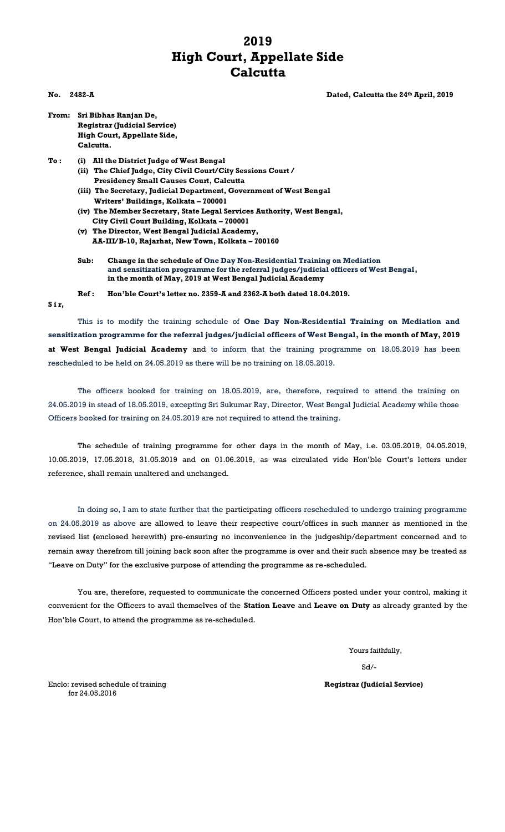## **2019 High Court, Appellate Side Calcutta**

**No.** 2482-A **Dated, Calcutta the 24<sup>th</sup> April, 2019** 

- **From: Sri Bibhas Ranjan De, Registrar (Judicial Service) High Court, Appellate Side, Calcutta.**
- **To : (i) All the District Judge of West Bengal (ii) The Chief Judge, City Civil Court/City Sessions Court /** 
	- **Presidency Small Causes Court, Calcutta (iii) The Secretary, Judicial Department, Government of West Bengal**
	- **Writers' Buildings, Kolkata – 700001 (iv) The Member Secretary, State Legal Services Authority, West Bengal, City Civil Court Building, Kolkata – 700001**
	- **(v) The Director, West Bengal Judicial Academy, AA-III/B-10, Rajarhat, New Town, Kolkata – 700160**
	- **Sub: Change in the schedule of One Day Non-Residential Training on Mediation and sensitization programme for the referral judges/judicial officers of West Bengal, in the month of May, 2019 at West Bengal Judicial Academy**
	- **Ref : Hon'ble Court's letter no. 2359-A and 2362-A both dated 18.04.2019.**

**S i r,**

This is to modify the training schedule of **One Day Non-Residential Training on Mediation and sensitization programme for the referral judges/judicial officers of West Bengal, in the month of May, 2019 at West Bengal Judicial Academy** and to inform that the training programme on 18.05.2019 has been rescheduled to be held on 24.05.2019 as there will be no training on 18.05.2019.

The officers booked for training on 18.05.2019, are, therefore, required to attend the training on 24.05.2019 in stead of 18.05.2019, excepting Sri Sukumar Ray, Director, West Bengal Judicial Academy while those Officers booked for training on 24.05.2019 are not required to attend the training.

The schedule of training programme for other days in the month of May, i.e. 03.05.2019, 04.05.2019, 10.05.2019, 17.05.2018, 31.05.2019 and on 01.06.2019, as was circulated vide Hon'ble Court's letters under reference, shall remain unaltered and unchanged.

In doing so, I am to state further that the participating officers rescheduled to undergo training programme on 24.05.2019 as above are allowed to leave their respective court/offices in such manner as mentioned in the revised list **(**enclosed herewith) pre-ensuring no inconvenience in the judgeship/department concerned and to remain away therefrom till joining back soon after the programme is over and their such absence may be treated as "Leave on Duty" for the exclusive purpose of attending the programme as re-scheduled.

You are, therefore, requested to communicate the concerned Officers posted under your control, making it convenient for the Officers to avail themselves of the **Station Leave** and **Leave on Duty** as already granted by the Hon'ble Court, to attend the programme as re-scheduled.

Yours faithfully,

Sd/-

Enclo: revised schedule of training **Registrar (Judicial Service)** for 24.05.2016